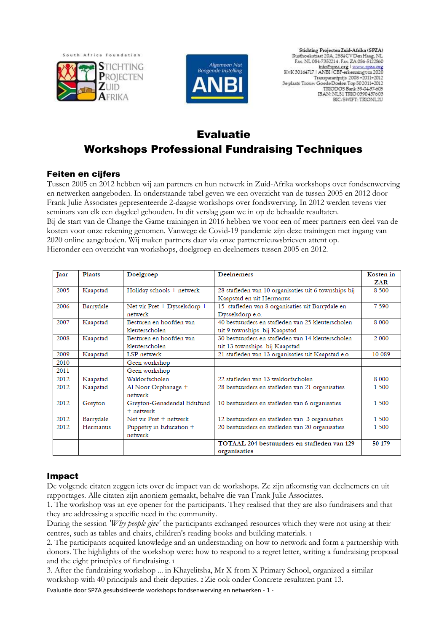



Stichting Projecten Zuid-Afrika (SPZA) Rusthoekstraat 20A, 2584 CV Den Haag, NL<br>Fax. NL 084-7352214 . Fax. ZA 086-5122860  $\frac{\text{info@spza.org} \mid \text{www.ppa.org}}{\text{KvK 30164717} \mid \text{ANBI} \mid \text{CBF-erkening} \cup \text{m} \cdot 2020}$ Transparantprijs 2008 +2011+2012 3e plaats Trouw Goede Doelen Top 502011+2012<br>TRIODOS Bank 39-04-37-603 IBAN: NL51 TRIO 0390437603 BIC/SWIFT: TRIONL2U

# Evaluatie Workshops Professional Fundraising Techniques

## Feiten en cijfers

Tussen 2005 en 2012 hebben wij aan partners en hun netwerk in Zuid-Afrika workshops over fondsenwerving en netwerken aangeboden. In onderstaande tabel geven we een overzicht van de tussen 2005 en 2012 door Frank Julie Associates gepresenteerde 2-daagse workshops over fondswerving. In 2012 werden tevens vier seminars van elk een dagdeel gehouden. In dit verslag gaan we in op de behaalde resultaten. Bij de start van de Change the Game trainingen in 2016 hebben we voor een of meer partners een deel van de kosten voor onze rekening genomen. Vanwege de Covid-19 pandemie zijn deze trainingen met ingang van 2020 online aangeboden. Wij maken partners daar via onze partnernieuwsbrieven attent op. Hieronder een overzicht van workshops, doelgroep en deelnemers tussen 2005 en 2012.

| Jaar | Plaats    | Doelgroep                      | <b>Deelnemers</b>                                    | Kosten in |
|------|-----------|--------------------------------|------------------------------------------------------|-----------|
|      |           |                                |                                                      | ZAR       |
| 2005 | Kaapstad  | Holiday schools + netwerk      | 28 stafleden van 10 organisaties uit 6 townships bij | 8 500     |
|      |           |                                | Kaapstad en uit Hermanus                             |           |
| 2006 | Barrydale | Net vir $Pret + Dysselsdorp +$ | 15 stafleden van 8 organisaties uit Barrydale en     | 7 5 9 0   |
|      |           | netwerk                        | Dysselsdorp e.o.                                     |           |
| 2007 | Kaapstad  | Besturen en hoofden van        | 40 bestuurders en stafleden van 25 kleuterscholen    | 8 0 0 0   |
|      |           | kleuterscholen                 | uit 9 townships bij Kaapstad                         |           |
| 2008 | Kaapstad  | Besturen en hoofden van        | 30 bestuurders en stafleden van 14 kleuterscholen    | 2.000     |
|      |           | kleuterscholen                 | uit 13 townships bij Kaapstad                        |           |
| 2009 | Kaapstad  | <b>LSP</b> netwerk             | 21 stafleden van 13 organisaties uit Kaapstad e.o.   | 10 089    |
| 2010 |           | Geen workshop                  |                                                      |           |
| 2011 |           | Geen workshop                  |                                                      |           |
| 2012 | Kaapstad  | Waldorfscholen                 | 22 stafleden van 13 waldorfscholen                   | 8 0 0 0   |
| 2012 | Kaapstad  | Al Noor Orphanage +            | 28 bestuurders en stafleden van 21 organisaties      | 1 500     |
|      |           | netwerk                        |                                                      |           |
| 2012 | Greyton   | Greyton-Genadendal Edufund     | 10 bestuurders en stafleden van 6 organisaties       | 1 500     |
|      |           | $+$ netwerk                    |                                                      |           |
| 2012 | Barrydale | Net vir Pret + netwerk         | 12 bestuurders en stafleden van 3 organisaties       | 1 500     |
| 2012 | Hermanus  | Puppetry in Education +        | 20 bestuurders en stafleden van 20 organisaties      | 1 500     |
|      |           | netwerk                        |                                                      |           |
|      |           |                                | TOTAAL 204 bestuurders en stafleden van 129          | 50 179    |
|      |           |                                | organisaties                                         |           |

## Impact

De volgende citaten zeggen iets over de impact van de workshops. Ze zijn afkomstig van deelnemers en uit rapportages. Alle citaten zijn anoniem gemaakt, behalve die van Frank Julie Associates.

1. The workshop was an eye opener for the participants. They realised that they are also fundraisers and that they are addressing a specific need in the community.

During the session *'Why people give'* the participants exchanged resources which they were not using at their centres, such as tables and chairs, children's reading books and building materials. <sup>1</sup>

2. The participants acquired knowledge and an understanding on how to network and form a partnership with donors. The highlights of the workshop were: how to respond to a regret letter, writing a fundraising proposal and the eight principles of fundraising. <sup>1</sup>

3. After the fundraising workshop ... in Khayelitsha, Mr X from X Primary School, organized a similar workshop with 40 principals and their deputies. 2 Zie ook onder Concrete resultaten punt 13.

Evaluatie door SPZA gesubsidieerde workshops fondsenwerving en netwerken - 1 -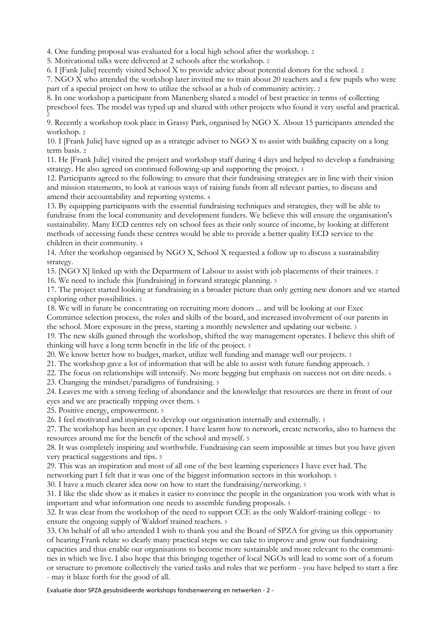4. One funding proposal was evaluated for a local high school after the workshop. <sup>2</sup>

5. Motivational talks were delivered at 2 schools after the workshop. <sup>2</sup>

6. I [Fank Julie] recently visited School X to provide advice about potential donors for the school. <sup>2</sup>

7. NGO X who attended the workshop later invited me to train about 20 teachers and a few pupils who were part of a special project on how to utilize the school as a hub of community activity. <sup>2</sup>

8. In one workshop a participant from Manenberg shared a model of best practice in terms of collecting preschool fees. The model was typed up and shared with other projects who found it very useful and practical. 2

9. Recently a workshop took place in Grassy Park, organised by NGO X. About 15 participants attended the workshop. <sup>2</sup>

10. I [Frank Julie] have signed up as a strategic adviser to NGO X to assist with building capacity on a long term basis. <sup>2</sup>

11. He [Frank Julie] visited the project and workshop staff during 4 days and helped to develop a fundraising strategy. He also agreed on continued following-up and supporting the project. <sup>3</sup>

12. Participants agreed to the following: to ensure that their fundraising strategies are in line with their vision and mission statements, to look at various ways of raising funds from all relevant parties, to discuss and amend their accountability and reporting systems. <sup>4</sup>

13. By equipping participants with the essential fundraising techniques and strategies, they will be able to fundraise from the local community and development funders. We believe this will ensure the organisation's sustainability. Many ECD centres rely on school fees as their only source of income, by looking at different methods of accessing funds these centres would be able to provide a better quality ECD service to the children in their community. <sup>4</sup>

14. After the workshop organised by NGO X, School X requested a follow up to discuss a sustainability strategy.

15. [NGO X] linked up with the Department of Labour to assist with job placements of their trainees. <sup>2</sup>

16. We need to include this [fundraising] in forward strategic planning. <sup>3</sup>

17. The project started looking at fundraising in a broader picture than only getting new donors and we started exploring other possibilities. <sup>3</sup>

18. We will in future be concentrating on recruiting more donors ... and will be looking at our Exec Committee selection process, the roles and skills of the board, and increased involvement of our parents in the school. More exposure in the press, starting a monthly newsletter and updating our website. <sup>3</sup>

19. The new skills gained through the workshop, shifted the way management operates. I believe this shift of thinking will have a long term benefit in the life of the project. <sup>3</sup>

20. We know better how to budget, market, utilize well funding and manage well our projects. <sup>3</sup>

21. The workshop gave a lot of information that will be able to assist with future funding approach. <sup>3</sup>

22. The focus on relationships will intensify. No more begging but emphasis on success not on dire needs. <sup>6</sup>

23. Changing the mindset/paradigms of fundraising. <sup>5</sup>

24. Leaves me with a strong feeling of abundance and the knowledge that resources are there in front of our eyes and we are practically tripping over them. <sup>5</sup>

25. Positive energy, empowerment. <sup>5</sup>

26. I feel motivated and inspired to develop our organisation internally and externally. <sup>5</sup>

27. The workshop has been an eye opener. I have learnt how to network, create networks, also to harness the resources around me for the benefit of the school and myself. 5

28. It was completely inspiring and worthwhile. Fundraising can seem impossible at times but you have given very practical suggestions and tips. 5

29. This was an inspiration and most of all one of the best learning experiences I have ever had. The

networking part I felt that it was one of the biggest information sectors in this workshop. <sup>5</sup>

30. I have a much clearer idea now on how to start the fundraising/networking. <sup>5</sup>

31. I like the slide show as it makes it easier to convince the people in the organization you work with what is important and what information one needs to assemble funding proposals. <sup>5</sup>

32. It was clear from the workshop of the need to support CCE as the only Waldorf-training college - to ensure the ongoing supply of Waldorf trained teachers. <sup>5</sup>

33. On behalf of all who attended I wish to thank you and the Board of SPZA for giving us this opportunity of hearing Frank relate so clearly many practical steps we can take to improve and grow our fundraising capacities and thus enable our organisations to become more sustainable and more relevant to the communities in which we live. I also hope that this bringing together of local NGOs will lead to some sort of a forum or structure to promote collectively the varied tasks and roles that we perform - you have helped to start a fire - may it blaze forth for the good of all.

Evaluatie door SPZA gesubsidieerde workshops fondsenwerving en netwerken - 2 -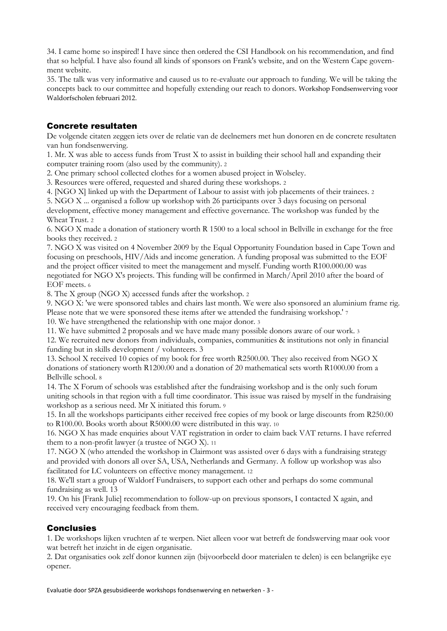34. I came home so inspired! I have since then ordered the CSI Handbook on his recommendation, and find that so helpful. I have also found all kinds of sponsors on Frank's website, and on the Western Cape government website.

35. The talk was very informative and caused us to re-evaluate our approach to funding. We will be taking the concepts back to our committee and hopefully extending our reach to donors. Workshop Fondsenwerving voor Waldorfscholen februari 2012.

## Concrete resultaten

De volgende citaten zeggen iets over de relatie van de deelnemers met hun donoren en de concrete resultaten van hun fondsenwerving.

1. Mr. X was able to access funds from Trust X to assist in building their school hall and expanding their computer training room (also used by the community). <sup>2</sup>

2. One primary school collected clothes for a women abused project in Wolseley.

3. Resources were offered, requested and shared during these workshops. <sup>2</sup>

4. [NGO X] linked up with the Department of Labour to assist with job placements of their trainees. <sup>2</sup>

5. NGO X ... organised a follow up workshop with 26 participants over 3 days focusing on personal development, effective money management and effective governance. The workshop was funded by the Wheat Trust. <sup>2</sup>

6. NGO X made a donation of stationery worth R 1500 to a local school in Bellville in exchange for the free books they received. <sup>2</sup>

7. NGO X was visited on 4 November 2009 by the Equal Opportunity Foundation based in Cape Town and focusing on preschools, HIV/Aids and income generation. A funding proposal was submitted to the EOF and the project officer visited to meet the management and myself. Funding worth R100.000.00 was negotiated for NGO X's projects. This funding will be confirmed in March/April 2010 after the board of EOF meets. <sup>6</sup>

8. The X group (NGO X) accessed funds after the workshop. <sup>2</sup>

9. NGO X: 'we were sponsored tables and chairs last month. We were also sponsored an aluminium frame rig. Please note that we were sponsored these items after we attended the fundraising workshop.' <sup>7</sup>

10. We have strengthened the relationship with one major donor. <sup>3</sup>

11. We have submitted 2 proposals and we have made many possible donors aware of our work. <sup>3</sup>

12. We recruited new donors from individuals, companies, communities & institutions not only in financial funding but in skills development / volunteers. 3

13. School X received 10 copies of my book for free worth R2500.00. They also received from NGO X donations of stationery worth R1200.00 and a donation of 20 mathematical sets worth R1000.00 from a Bellville school. <sup>8</sup>

14. The X Forum of schools was established after the fundraising workshop and is the only such forum uniting schools in that region with a full time coordinator. This issue was raised by myself in the fundraising workshop as a serious need. Mr X initiated this forum. <sup>9</sup>

15. In all the workshops participants either received free copies of my book or large discounts from R250.00 to R100.00. Books worth about R5000.00 were distributed in this way. <sup>10</sup>

16. NGO X has made enquiries about VAT registration in order to claim back VAT returns. I have referred them to a non-profit lawyer (a trustee of NGO X). <sup>11</sup>

17. NGO X (who attended the workshop in Clairmont was assisted over 6 days with a fundraising strategy and provided with donors all over SA, USA, Netherlands and Germany. A follow up workshop was also facilitated for LC volunteers on effective money management. <sup>12</sup>

18. We'll start a group of Waldorf Fundraisers, to support each other and perhaps do some communal fundraising as well. 13

19. On his [Frank Julie] recommendation to follow-up on previous sponsors, I contacted X again, and received very encouraging feedback from them.

## **Conclusies**

1. De workshops lijken vruchten af te werpen. Niet alleen voor wat betreft de fondswerving maar ook voor wat betreft het inzicht in de eigen organisatie.

2. Dat organisaties ook zelf donor kunnen zijn (bijvoorbeeld door materialen te delen) is een belangrijke eye opener.

Evaluatie door SPZA gesubsidieerde workshops fondsenwerving en netwerken - 3 -